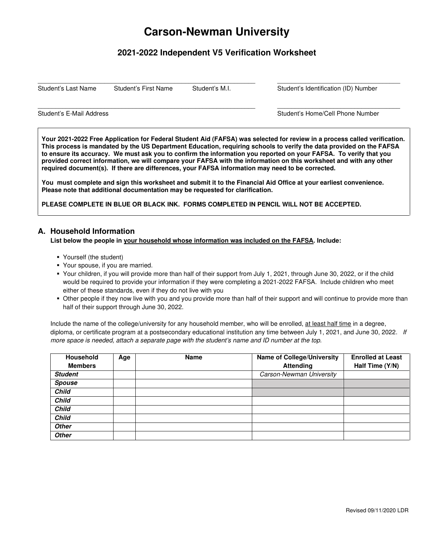# **Carson-Newman University**

# **2021-2022 Independent V5 Verification Worksheet**

 $\_$  ,  $\_$  ,  $\_$  ,  $\_$  ,  $\_$  ,  $\_$  ,  $\_$  ,  $\_$  ,  $\_$  ,  $\_$  ,  $\_$  ,  $\_$  ,  $\_$  ,  $\_$  ,  $\_$  ,  $\_$  ,  $\_$  ,  $\_$  ,  $\_$  ,  $\_$  ,  $\_$  ,  $\_$  ,  $\_$  ,  $\_$  ,  $\_$  ,  $\_$  ,  $\_$  ,  $\_$  ,  $\_$  ,  $\_$  ,  $\_$  ,  $\_$  ,  $\_$  ,  $\_$  ,  $\_$  ,  $\_$  ,  $\_$  ,

 $\_$  ,  $\_$  ,  $\_$  ,  $\_$  ,  $\_$  ,  $\_$  ,  $\_$  ,  $\_$  ,  $\_$  ,  $\_$  ,  $\_$  ,  $\_$  ,  $\_$  ,  $\_$  ,  $\_$  ,  $\_$  ,  $\_$  ,  $\_$  ,  $\_$  ,  $\_$  ,  $\_$  ,  $\_$  ,  $\_$  ,  $\_$  ,  $\_$  ,  $\_$  ,  $\_$  ,  $\_$  ,  $\_$  ,  $\_$  ,  $\_$  ,  $\_$  ,  $\_$  ,  $\_$  ,  $\_$  ,  $\_$  ,  $\_$  ,

Student's Last Name Student's First Name Student's M.I. Student's Identification (ID) Number

Student's E-Mail Address **Student's E-Mail Address** Student's Home/Cell Phone Number

**Your 2021-2022 Free Application for Federal Student Aid (FAFSA) was selected for review in a process called verification. This process is mandated by the US Department Education, requiring schools to verify the data provided on the FAFSA to ensure its accuracy. We must ask you to confirm the information you reported on your FAFSA. To verify that you provided correct information, we will compare your FAFSA with the information on this worksheet and with any other required document(s). If there are differences, your FAFSA information may need to be corrected.** 

**You must complete and sign this worksheet and submit it to the Financial Aid Office at your earliest convenience. Please note that additional documentation may be requested for clarification.** 

**PLEASE COMPLETE IN BLUE OR BLACK INK. FORMS COMPLETED IN PENCIL WILL NOT BE ACCEPTED.** 

## **A. Household Information**

#### **List below the people in your household whose information was included on the FAFSA. Include:**

- Yourself (the student)
- Your spouse, if you are married.
- Your children, if you will provide more than half of their support from July 1, 2021, through June 30, 2022, or if the child would be required to provide your information if they were completing a 2021-2022 FAFSA. Include children who meet either of these standards, even if they do not live with you
- Other people if they now live with you and you provide more than half of their support and will continue to provide more than half of their support through June 30, 2022.

Include the name of the college/university for any household member, who will be enrolled, at least half time in a degree, diploma, or certificate program at a postsecondary educational institution any time between July 1, 2021, and June 30, 2022. If more space is needed, attach a separate page with the student's name and ID number at the top.

| <b>Household</b> | Age | <b>Name</b> | <b>Name of College/University</b> | <b>Enrolled at Least</b> |
|------------------|-----|-------------|-----------------------------------|--------------------------|
| <b>Members</b>   |     |             | <b>Attending</b>                  | Half Time (Y/N)          |
| <b>Student</b>   |     |             | Carson-Newman University          |                          |
| <b>Spouse</b>    |     |             |                                   |                          |
| <b>Child</b>     |     |             |                                   |                          |
| <b>Child</b>     |     |             |                                   |                          |
| <b>Child</b>     |     |             |                                   |                          |
| <b>Child</b>     |     |             |                                   |                          |
| <b>Other</b>     |     |             |                                   |                          |
| <b>Other</b>     |     |             |                                   |                          |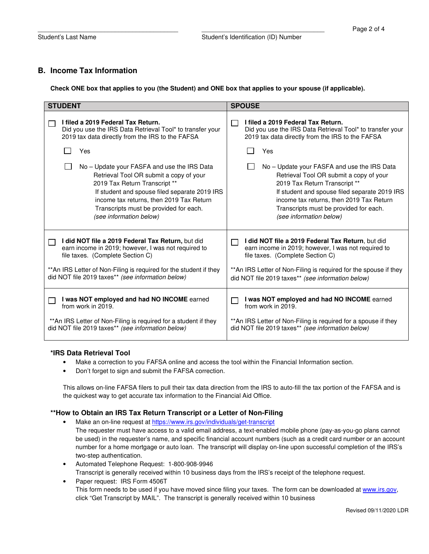## **B. Income Tax Information**

**Check ONE box that applies to you (the Student) and ONE box that applies to your spouse (if applicable).** 

| <b>STUDENT</b>                                                     | <b>SPOUSE</b>                                                     |
|--------------------------------------------------------------------|-------------------------------------------------------------------|
| I filed a 2019 Federal Tax Return.                                 | I filed a 2019 Federal Tax Return.                                |
| Did you use the IRS Data Retrieval Tool* to transfer your          | Did you use the IRS Data Retrieval Tool* to transfer your         |
| 2019 tax data directly from the IRS to the FAFSA                   | 2019 tax data directly from the IRS to the FAFSA                  |
| Yes                                                                | Yes                                                               |
| No – Update your FASFA and use the IRS Data                        | No – Update your FASFA and use the IRS Data                       |
| Retrieval Tool OR submit a copy of your                            | Retrieval Tool OR submit a copy of your                           |
| 2019 Tax Return Transcript **                                      | 2019 Tax Return Transcript **                                     |
| If student and spouse filed separate 2019 IRS                      | If student and spouse filed separate 2019 IRS                     |
| income tax returns, then 2019 Tax Return                           | income tax returns, then 2019 Tax Return                          |
| Transcripts must be provided for each.                             | Transcripts must be provided for each.                            |
| (see information below)                                            | (see information below)                                           |
| I did NOT file a 2019 Federal Tax Return, but did                  | I did NOT file a 2019 Federal Tax Return, but did                 |
| earn income in 2019; however, I was not required to                | earn income in 2019; however, I was not required to               |
| file taxes. (Complete Section C)                                   | file taxes. (Complete Section C)                                  |
| ** An IRS Letter of Non-Filing is required for the student if they | ** An IRS Letter of Non-Filing is required for the spouse if they |
| did NOT file 2019 taxes** (see information below)                  | did NOT file 2019 taxes** (see information below)                 |
| I was NOT employed and had NO INCOME earned                        | I was NOT employed and had NO INCOME earned                       |
| from work in 2019.                                                 | from work in 2019.                                                |
| ** An IRS Letter of Non-Filing is required for a student if they   | ** An IRS Letter of Non-Filing is required for a spouse if they   |
| did NOT file 2019 taxes** (see information below)                  | did NOT file 2019 taxes** (see information below)                 |

#### **\*IRS Data Retrieval Tool**

- Make a correction to you FAFSA online and access the tool within the Financial Information section.
- Don't forget to sign and submit the FAFSA correction.

This allows on-line FAFSA filers to pull their tax data direction from the IRS to auto-fill the tax portion of the FAFSA and is the quickest way to get accurate tax information to the Financial Aid Office.

#### **\*\*How to Obtain an IRS Tax Return Transcript or a Letter of Non-Filing**

- Make an on-line request at https://www.irs.gov/individuals/get-transcript
	- The requester must have access to a valid email address, a text-enabled mobile phone (pay-as-you-go plans cannot be used) in the requester's name, and specific financial account numbers (such as a credit card number or an account number for a home mortgage or auto loan. The transcript will display on-line upon successful completion of the IRS's two-step authentication.
- Automated Telephone Request: 1-800-908-9946 Transcript is generally received within 10 business days from the IRS's receipt of the telephone request.
- Paper request: IRS Form 4506T This form needs to be used if you have moved since filing your taxes. The form can be downloaded at www.irs.gov, click "Get Transcript by MAIL". The transcript is generally received within 10 business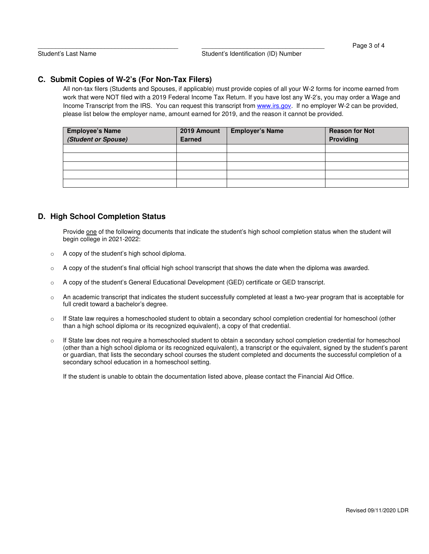# **C. Submit Copies of W-2's (For Non-Tax Filers)**

All non-tax filers (Students and Spouses, if applicable) must provide copies of all your W-2 forms for income earned from work that were NOT filed with a 2019 Federal Income Tax Return. If you have lost any W-2's, you may order a Wage and Income Transcript from the IRS. You can request this transcript from www.irs.gov. If no employer W-2 can be provided, please list below the employer name, amount earned for 2019, and the reason it cannot be provided.

| <b>Employee's Name</b><br>(Student or Spouse) | 2019 Amount<br><b>Earned</b> | <b>Employer's Name</b> | <b>Reason for Not</b><br>Providing |
|-----------------------------------------------|------------------------------|------------------------|------------------------------------|
|                                               |                              |                        |                                    |
|                                               |                              |                        |                                    |
|                                               |                              |                        |                                    |
|                                               |                              |                        |                                    |
|                                               |                              |                        |                                    |

## **D. High School Completion Status**

Provide one of the following documents that indicate the student's high school completion status when the student will begin college in 2021-2022:

- o A copy of the student's high school diploma.
- $\circ$  A copy of the student's final official high school transcript that shows the date when the diploma was awarded.
- o A copy of the student's General Educational Development (GED) certificate or GED transcript.
- o An academic transcript that indicates the student successfully completed at least a two-year program that is acceptable for full credit toward a bachelor's degree.
- o If State law requires a homeschooled student to obtain a secondary school completion credential for homeschool (other than a high school diploma or its recognized equivalent), a copy of that credential.
- $\circ$  If State law does not require a homeschooled student to obtain a secondary school completion credential for homeschool (other than a high school diploma or its recognized equivalent), a transcript or the equivalent, signed by the student's parent or guardian, that lists the secondary school courses the student completed and documents the successful completion of a secondary school education in a homeschool setting.

If the student is unable to obtain the documentation listed above, please contact the Financial Aid Office.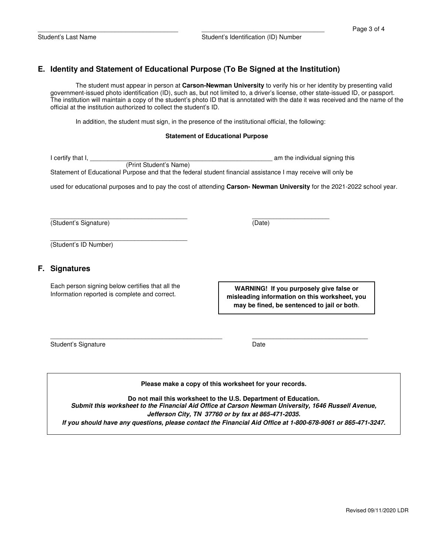# **E. Identity and Statement of Educational Purpose (To Be Signed at the Institution)**

The student must appear in person at **Carson-Newman University** to verify his or her identity by presenting valid government-issued photo identification (ID), such as, but not limited to, a driver's license, other state-issued ID, or passport. The institution will maintain a copy of the student's photo ID that is annotated with the date it was received and the name of the official at the institution authorized to collect the student's ID.

In addition, the student must sign, in the presence of the institutional official, the following:

 $\frac{1}{2}$  ,  $\frac{1}{2}$  ,  $\frac{1}{2}$  ,  $\frac{1}{2}$  ,  $\frac{1}{2}$  ,  $\frac{1}{2}$  ,  $\frac{1}{2}$  ,  $\frac{1}{2}$  ,  $\frac{1}{2}$  ,  $\frac{1}{2}$  ,  $\frac{1}{2}$  ,  $\frac{1}{2}$  ,  $\frac{1}{2}$  ,  $\frac{1}{2}$  ,  $\frac{1}{2}$  ,  $\frac{1}{2}$  ,  $\frac{1}{2}$  ,  $\frac{1}{2}$  ,  $\frac{1$ 

#### **Statement of Educational Purpose**

| l certify that I.                                                                                                      | am the individual signing this |
|------------------------------------------------------------------------------------------------------------------------|--------------------------------|
| (Print Student's Name)                                                                                                 |                                |
| Statement of Educational Purpose and that the federal student financial assistance I may receive will only be          |                                |
|                                                                                                                        |                                |
| used for educational purposes and to pay the cost of attending Carson-Newman University for the 2021-2022 school year. |                                |
|                                                                                                                        |                                |

(Student's Signature) (Date)

(Student's ID Number)

#### **F. Signatures**

Each person signing below certifies that all the Information reported is complete and correct.

 $\frac{1}{2}$  ,  $\frac{1}{2}$  ,  $\frac{1}{2}$  ,  $\frac{1}{2}$  ,  $\frac{1}{2}$  ,  $\frac{1}{2}$  ,  $\frac{1}{2}$  ,  $\frac{1}{2}$  ,  $\frac{1}{2}$  ,  $\frac{1}{2}$  ,  $\frac{1}{2}$  ,  $\frac{1}{2}$  ,  $\frac{1}{2}$  ,  $\frac{1}{2}$  ,  $\frac{1}{2}$  ,  $\frac{1}{2}$  ,  $\frac{1}{2}$  ,  $\frac{1}{2}$  ,  $\frac{1$ 

| WARNING! If you purposely give false or       |
|-----------------------------------------------|
| misleading information on this worksheet, you |
| may be fined, be sentenced to jail or both.   |

Student's Signature Date Date Date

#### **Please make a copy of this worksheet for your records.**

\_\_\_\_\_\_\_\_\_\_\_\_\_\_\_\_\_\_\_\_\_\_\_\_\_\_\_\_\_\_\_\_\_\_\_\_\_\_\_\_\_\_\_\_\_\_\_\_\_ \_\_\_\_\_\_\_\_\_\_\_\_\_\_\_\_\_\_\_\_\_\_\_\_\_\_\_\_\_\_\_\_\_

**Do not mail this worksheet to the U.S. Department of Education. Submit this worksheet to the Financial Aid Office at Carson Newman University, 1646 Russell Avenue, Jefferson City, TN 37760 or by fax at 865-471-2035. If you should have any questions, please contact the Financial Aid Office at 1-800-678-9061 or 865-471-3247.**